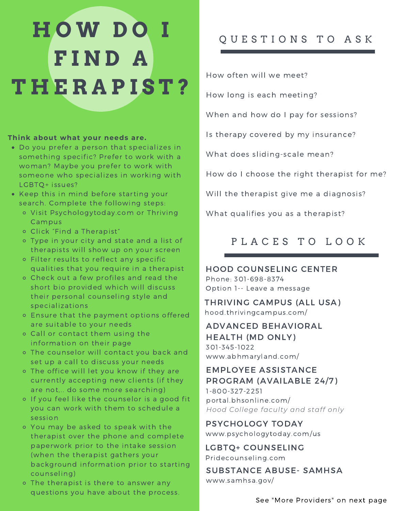# **H O W D O I F I N D A T H E R A P I S T ?**

#### **Think about what your needs are.**

- Do you prefer a person that specializes in something specific? Prefer to work with a woman? Maybe you prefer to work with someone who specializes in working with LGBTQ+ issues?
- Keep this in mind before starting your search. Complete the following steps:
	- Visit Psychologytoday.com or Thriving Campus
	- Click "Find a Therapist"
	- Type in your city and state and a list of therapists will show up on your screen
	- Filter results to reflect any specific qualities that you require in a therapist
	- Check out a few profiles and read the short bio provided which will discuss their personal counseling style and specializations
	- Ensure that the payment options offered are suitable to your needs
	- Call or contact them using the information on their page
	- The counselor will contact you back and set up a call to discuss your needs
	- The office will let you know if they are currently accepting new clients (if they are not,.. do some more searching)
	- o If you feel like the counselor is a good fit you can work with them to schedule a session
	- You may be asked to speak with the therapist over the phone and complete paperwork prior to the intake session (when the therapist gathers your background information prior to starting counseling)
	- o The therapist is there to answer any questions you have about the process.

### Q U E S T I O N S T O A S K

How often will we meet?

How long is each meeting?

When and how do I pay for sessions?

Is therapy covered by my insurance?

What does sliding-scale mean?

How do I choose the right therapist for me?

Will the therapist give me a diagnosis?

What qualifies you as a therapist?

# PLACES TO LOOK

#### HOOD COUNSELING CENTER Phone: 301-698-8374

Option 1-- Leave a message

THRIVING CAMPUS (ALL USA) hood.thrivingcampus.com/

#### ADVANCED BEHAVIORAL HEALTH (MD ONLY) 301-345-1022 www.abhmaryland.com/

#### EMPLOYEE ASSISTANCE PROGRAM (AVAILABLE 24/7)

1-800-327-2251 portal.bhsonline.com/ *Hood College faculty and staff only*

PSYCHOLOGY TODAY www.psychologytoday.com/us

LGBTQ+ COUNSELING Pridecounseling.com

SUBSTANCE ABUSE- SAMHSA www.samhsa.gov/